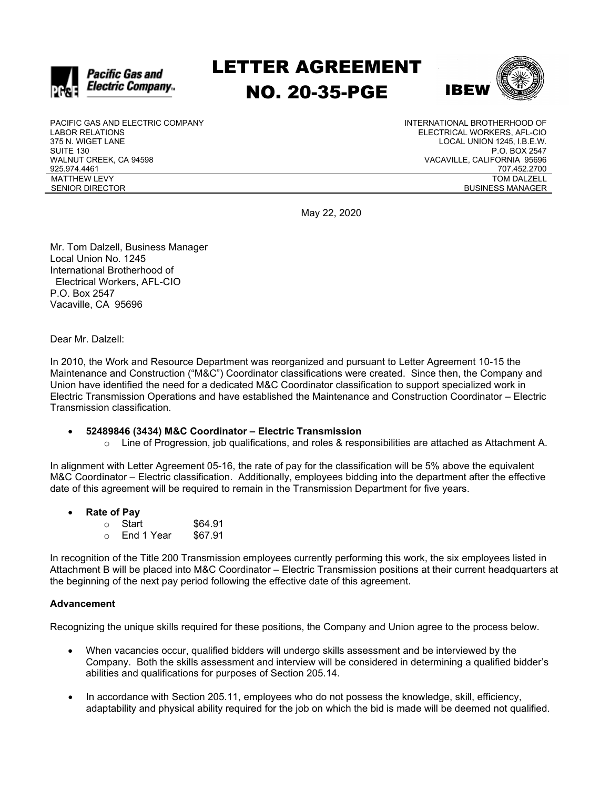

# LETTER AGREEMENT NO. 20-35-PGE



PACIFIC GAS AND ELECTRIC COMPANY LABOR RELATIONS 375 N. WIGET LANE SUITE 130 WALNUT CREEK, CA 94598 925.974.4461 MATTHEW LEVY SENIOR DIRECTOR

INTERNATIONAL BROTHERHOOD OF ELECTRICAL WORKERS, AFL-CIO LOCAL UNION 1245, I.B.E.W. P.O. BOX 2547 VACAVILLE, CALIFORNIA 95696 707.452.2700 TOM DALZELL BUSINESS MANAGER

May 22, 2020

Mr. Tom Dalzell, Business Manager Local Union No. 1245 International Brotherhood of Electrical Workers, AFL-CIO P.O. Box 2547 Vacaville, CA 95696

Dear Mr. Dalzell:

In 2010, the Work and Resource Department was reorganized and pursuant to Letter Agreement 10-15 the Maintenance and Construction ("M&C") Coordinator classifications were created. Since then, the Company and Union have identified the need for a dedicated M&C Coordinator classification to support specialized work in Electric Transmission Operations and have established the Maintenance and Construction Coordinator – Electric Transmission classification.

- **52489846 (3434) M&C Coordinator – Electric Transmission**
	- $\circ$  Line of Progression, job qualifications, and roles & responsibilities are attached as Attachment A.

In alignment with Letter Agreement 05-16, the rate of pay for the classification will be 5% above the equivalent M&C Coordinator – Electric classification. Additionally, employees bidding into the department after the effective date of this agreement will be required to remain in the Transmission Department for five years.

### • **Rate of Pay**

| $\cap$ | Start      | \$64.91 |
|--------|------------|---------|
| $\cap$ | End 1 Year | \$67.91 |

In recognition of the Title 200 Transmission employees currently performing this work, the six employees listed in Attachment B will be placed into M&C Coordinator – Electric Transmission positions at their current headquarters at the beginning of the next pay period following the effective date of this agreement.

#### **Advancement**

Recognizing the unique skills required for these positions, the Company and Union agree to the process below.

- When vacancies occur, qualified bidders will undergo skills assessment and be interviewed by the Company. Both the skills assessment and interview will be considered in determining a qualified bidder's abilities and qualifications for purposes of Section 205.14.
- In accordance with Section 205.11, employees who do not possess the knowledge, skill, efficiency, adaptability and physical ability required for the job on which the bid is made will be deemed not qualified.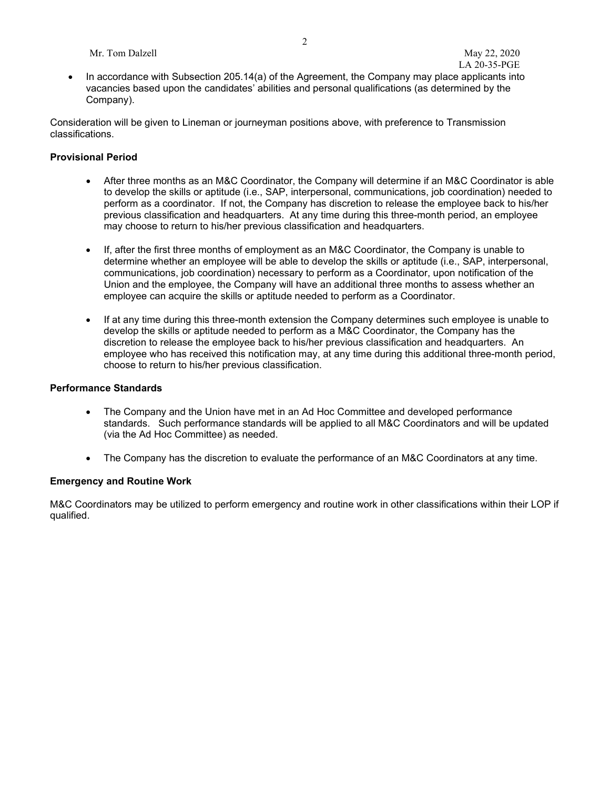Mr. Tom Dalzell May 22, 2020

• In accordance with Subsection 205.14(a) of the Agreement, the Company may place applicants into vacancies based upon the candidates' abilities and personal qualifications (as determined by the Company).

Consideration will be given to Lineman or journeyman positions above, with preference to Transmission classifications.

### **Provisional Period**

- After three months as an M&C Coordinator, the Company will determine if an M&C Coordinator is able to develop the skills or aptitude (i.e., SAP, interpersonal, communications, job coordination) needed to perform as a coordinator. If not, the Company has discretion to release the employee back to his/her previous classification and headquarters. At any time during this three-month period, an employee may choose to return to his/her previous classification and headquarters.
- If, after the first three months of employment as an M&C Coordinator, the Company is unable to determine whether an employee will be able to develop the skills or aptitude (i.e., SAP, interpersonal, communications, job coordination) necessary to perform as a Coordinator, upon notification of the Union and the employee, the Company will have an additional three months to assess whether an employee can acquire the skills or aptitude needed to perform as a Coordinator.
- If at any time during this three-month extension the Company determines such employee is unable to develop the skills or aptitude needed to perform as a M&C Coordinator, the Company has the discretion to release the employee back to his/her previous classification and headquarters. An employee who has received this notification may, at any time during this additional three-month period, choose to return to his/her previous classification.

#### **Performance Standards**

- The Company and the Union have met in an Ad Hoc Committee and developed performance standards. Such performance standards will be applied to all M&C Coordinators and will be updated (via the Ad Hoc Committee) as needed.
- The Company has the discretion to evaluate the performance of an M&C Coordinators at any time.

#### **Emergency and Routine Work**

M&C Coordinators may be utilized to perform emergency and routine work in other classifications within their LOP if qualified.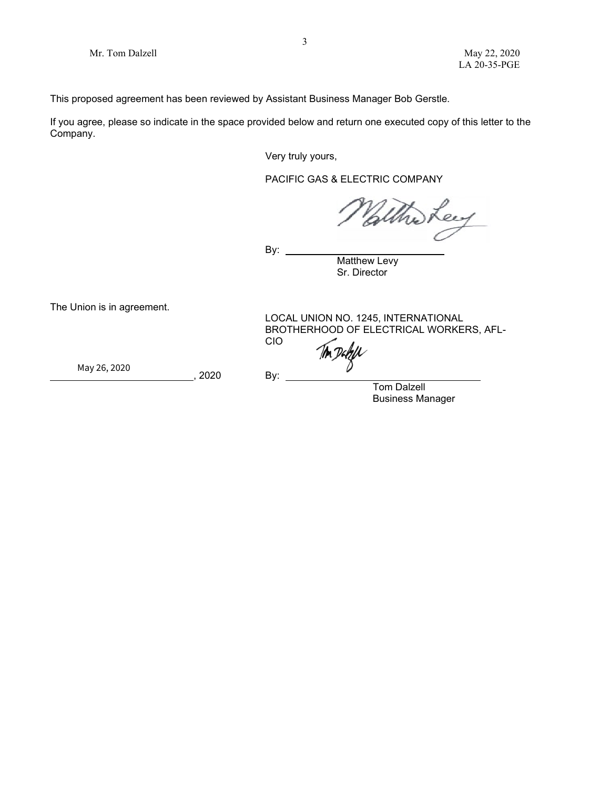This proposed agreement has been reviewed by Assistant Business Manager Bob Gerstle.

If you agree, please so indicate in the space provided below and return one executed copy of this letter to the Company.

Very truly yours,

PACIFIC GAS & ELECTRIC COMPANY

ei

By:  $\overline{\phantom{a}}$ 

Matthew Levy Sr. Director

The Union is in agreement.

LOCAL UNION NO. 1245, INTERNATIONAL BROTHERHOOD OF ELECTRICAL WORKERS, AFL-<br>CIO <u>CIO de la contrada de la ciudad de la ciudad de la ciudad de la ciudad de la ciudad de la ciudad de la ciudad </u>

Ton Datell

 ${{\sf May 26, 2020}}$   ${{\sf 2888}}$   ${{\sf 2000}}$ 

, 2020 By:

Tom Dalzell Business Manager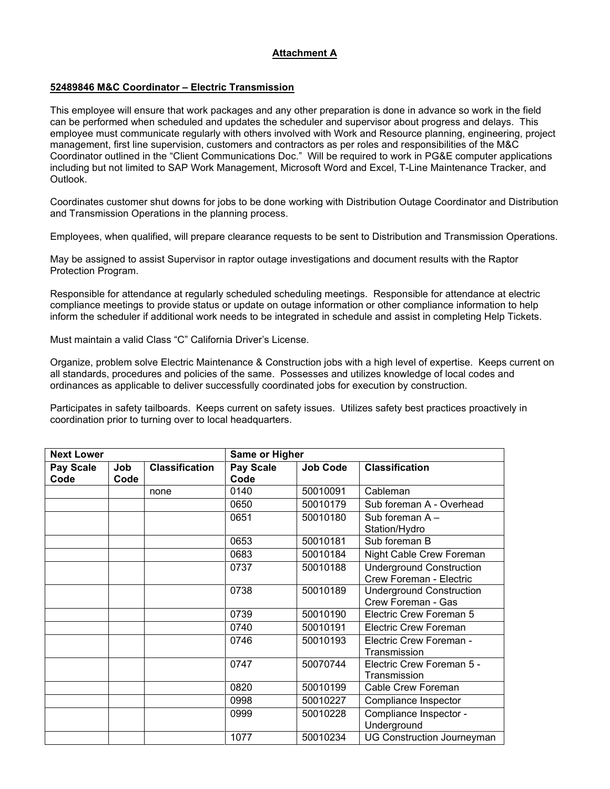## **Attachment A**

## **52489846 M&C Coordinator – Electric Transmission**

This employee will ensure that work packages and any other preparation is done in advance so work in the field can be performed when scheduled and updates the scheduler and supervisor about progress and delays. This employee must communicate regularly with others involved with Work and Resource planning, engineering, project management, first line supervision, customers and contractors as per roles and responsibilities of the M&C Coordinator outlined in the "Client Communications Doc." Will be required to work in PG&E computer applications including but not limited to SAP Work Management, Microsoft Word and Excel, T-Line Maintenance Tracker, and Outlook.

Coordinates customer shut downs for jobs to be done working with Distribution Outage Coordinator and Distribution and Transmission Operations in the planning process.

Employees, when qualified, will prepare clearance requests to be sent to Distribution and Transmission Operations.

May be assigned to assist Supervisor in raptor outage investigations and document results with the Raptor Protection Program.

Responsible for attendance at regularly scheduled scheduling meetings. Responsible for attendance at electric compliance meetings to provide status or update on outage information or other compliance information to help inform the scheduler if additional work needs to be integrated in schedule and assist in completing Help Tickets.

Must maintain a valid Class "C" California Driver's License.

Organize, problem solve Electric Maintenance & Construction jobs with a high level of expertise. Keeps current on all standards, procedures and policies of the same. Possesses and utilizes knowledge of local codes and ordinances as applicable to deliver successfully coordinated jobs for execution by construction.

Participates in safety tailboards. Keeps current on safety issues. Utilizes safety best practices proactively in coordination prior to turning over to local headquarters.

| <b>Next Lower</b> |             | Same or Higher        |                   |                 |                                                            |
|-------------------|-------------|-----------------------|-------------------|-----------------|------------------------------------------------------------|
| Pay Scale<br>Code | Job<br>Code | <b>Classification</b> | Pay Scale<br>Code | <b>Job Code</b> | <b>Classification</b>                                      |
|                   |             | none                  | 0140              | 50010091        | Cableman                                                   |
|                   |             |                       | 0650              | 50010179        | Sub foreman A - Overhead                                   |
|                   |             |                       | 0651              | 50010180        | Sub foreman A-<br>Station/Hydro                            |
|                   |             |                       | 0653              | 50010181        | Sub foreman B                                              |
|                   |             |                       | 0683              | 50010184        | Night Cable Crew Foreman                                   |
|                   |             |                       | 0737              | 50010188        | <b>Underground Construction</b><br>Crew Foreman - Electric |
|                   |             |                       | 0738              | 50010189        | <b>Underground Construction</b><br>Crew Foreman - Gas      |
|                   |             |                       | 0739              | 50010190        | Electric Crew Foreman 5                                    |
|                   |             |                       | 0740              | 50010191        | <b>Electric Crew Foreman</b>                               |
|                   |             |                       | 0746              | 50010193        | Electric Crew Foreman -<br>Transmission                    |
|                   |             |                       | 0747              | 50070744        | Electric Crew Foreman 5 -<br>Transmission                  |
|                   |             |                       | 0820              | 50010199        | Cable Crew Foreman                                         |
|                   |             |                       | 0998              | 50010227        | Compliance Inspector                                       |
|                   |             |                       | 0999              | 50010228        | Compliance Inspector -<br>Underground                      |
|                   |             |                       | 1077              | 50010234        | <b>UG Construction Journeyman</b>                          |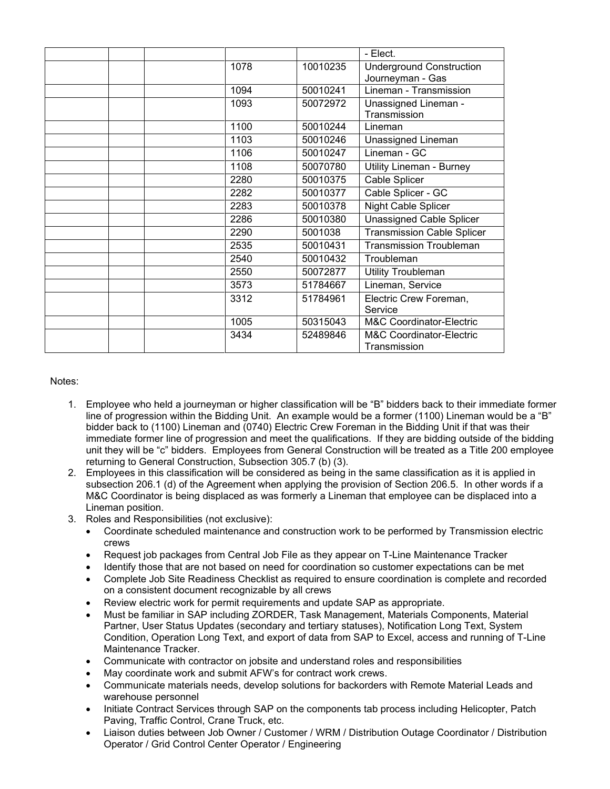|      |          | - Elect.                            |
|------|----------|-------------------------------------|
| 1078 | 10010235 | <b>Underground Construction</b>     |
|      |          | Journeyman - Gas                    |
| 1094 | 50010241 | Lineman - Transmission              |
| 1093 | 50072972 | Unassigned Lineman -                |
|      |          | Transmission                        |
| 1100 | 50010244 | Lineman                             |
| 1103 | 50010246 | Unassigned Lineman                  |
| 1106 | 50010247 | Lineman - GC                        |
| 1108 | 50070780 | Utility Lineman - Burney            |
| 2280 | 50010375 | Cable Splicer                       |
| 2282 | 50010377 | Cable Splicer - GC                  |
| 2283 | 50010378 | Night Cable Splicer                 |
| 2286 | 50010380 | <b>Unassigned Cable Splicer</b>     |
| 2290 | 5001038  | <b>Transmission Cable Splicer</b>   |
| 2535 | 50010431 | <b>Transmission Troubleman</b>      |
| 2540 | 50010432 | Troubleman                          |
| 2550 | 50072877 | <b>Utility Troubleman</b>           |
| 3573 | 51784667 | Lineman, Service                    |
| 3312 | 51784961 | Electric Crew Foreman,              |
|      |          | Service                             |
| 1005 | 50315043 | M&C Coordinator-Electric            |
| 3434 | 52489846 | <b>M&amp;C Coordinator-Electric</b> |
|      |          | Transmission                        |

Notes:

- 1. Employee who held a journeyman or higher classification will be "B" bidders back to their immediate former line of progression within the Bidding Unit. An example would be a former (1100) Lineman would be a "B" bidder back to (1100) Lineman and (0740) Electric Crew Foreman in the Bidding Unit if that was their immediate former line of progression and meet the qualifications. If they are bidding outside of the bidding unit they will be "c" bidders. Employees from General Construction will be treated as a Title 200 employee returning to General Construction, Subsection 305.7 (b) (3).
- 2. Employees in this classification will be considered as being in the same classification as it is applied in subsection 206.1 (d) of the Agreement when applying the provision of Section 206.5. In other words if a M&C Coordinator is being displaced as was formerly a Lineman that employee can be displaced into a Lineman position.
- 3. Roles and Responsibilities (not exclusive):
	- Coordinate scheduled maintenance and construction work to be performed by Transmission electric crews
	- Request job packages from Central Job File as they appear on T-Line Maintenance Tracker
	- Identify those that are not based on need for coordination so customer expectations can be met
	- Complete Job Site Readiness Checklist as required to ensure coordination is complete and recorded on a consistent document recognizable by all crews
	- Review electric work for permit requirements and update SAP as appropriate.
	- Must be familiar in SAP including ZORDER, Task Management, Materials Components, Material Partner, User Status Updates (secondary and tertiary statuses), Notification Long Text, System Condition, Operation Long Text, and export of data from SAP to Excel, access and running of T-Line Maintenance Tracker.
	- Communicate with contractor on jobsite and understand roles and responsibilities
	- May coordinate work and submit AFW's for contract work crews.
	- Communicate materials needs, develop solutions for backorders with Remote Material Leads and warehouse personnel
	- Initiate Contract Services through SAP on the components tab process including Helicopter, Patch Paving, Traffic Control, Crane Truck, etc.
	- Liaison duties between Job Owner / Customer / WRM / Distribution Outage Coordinator / Distribution Operator / Grid Control Center Operator / Engineering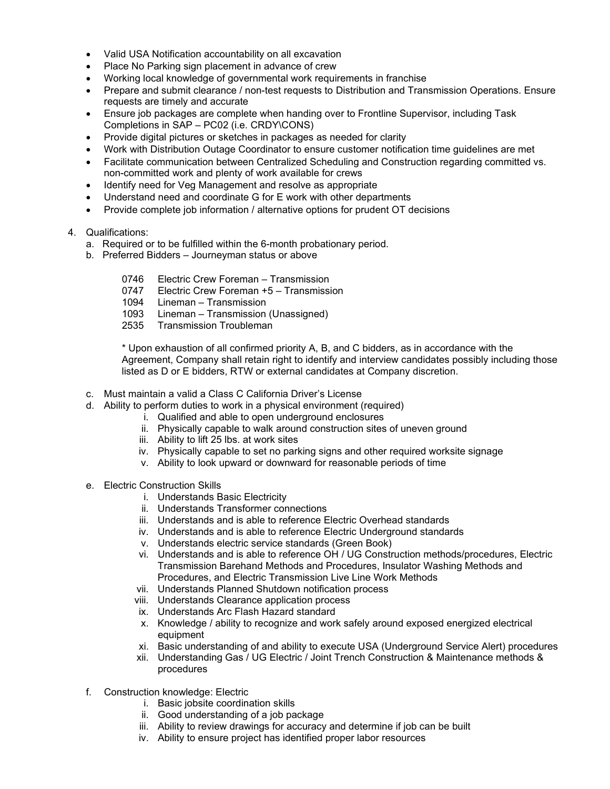- Valid USA Notification accountability on all excavation
- Place No Parking sign placement in advance of crew
- Working local knowledge of governmental work requirements in franchise
- Prepare and submit clearance / non-test requests to Distribution and Transmission Operations. Ensure requests are timely and accurate
- Ensure job packages are complete when handing over to Frontline Supervisor, including Task Completions in SAP – PC02 (i.e. CRDY\CONS)
- Provide digital pictures or sketches in packages as needed for clarity
- Work with Distribution Outage Coordinator to ensure customer notification time guidelines are met
- Facilitate communication between Centralized Scheduling and Construction regarding committed vs. non-committed work and plenty of work available for crews
- Identify need for Veg Management and resolve as appropriate
- Understand need and coordinate G for E work with other departments
- Provide complete job information / alternative options for prudent OT decisions

#### 4. Qualifications:

- a. Required or to be fulfilled within the 6-month probationary period.
- b. Preferred Bidders Journeyman status or above
	- 0746 Electric Crew Foreman Transmission<br>0747 Electric Crew Foreman +5 Transmissi
	- Electric Crew Foreman +5 Transmission
	- 1094 Lineman Transmission
	- 1093 Lineman Transmission (Unassigned)
	- 2535 Transmission Troubleman

\* Upon exhaustion of all confirmed priority A, B, and C bidders, as in accordance with the Agreement, Company shall retain right to identify and interview candidates possibly including those listed as D or E bidders, RTW or external candidates at Company discretion.

- c. Must maintain a valid a Class C California Driver's License
- d. Ability to perform duties to work in a physical environment (required)
	- i. Qualified and able to open underground enclosures
		- ii. Physically capable to walk around construction sites of uneven ground
	- iii. Ability to lift 25 lbs. at work sites
	- iv. Physically capable to set no parking signs and other required worksite signage
	- v. Ability to look upward or downward for reasonable periods of time
- e. Electric Construction Skills
	- i. Understands Basic Electricity
	- ii. Understands Transformer connections
	- iii. Understands and is able to reference Electric Overhead standards
	- iv. Understands and is able to reference Electric Underground standards
	- v. Understands electric service standards (Green Book)
	- vi. Understands and is able to reference OH / UG Construction methods/procedures, Electric Transmission Barehand Methods and Procedures, Insulator Washing Methods and Procedures, and Electric Transmission Live Line Work Methods
	- vii. Understands Planned Shutdown notification process
	- viii. Understands Clearance application process
	- ix. Understands Arc Flash Hazard standard
	- x. Knowledge / ability to recognize and work safely around exposed energized electrical equipment
	- xi. Basic understanding of and ability to execute USA (Underground Service Alert) procedures
	- xii. Understanding Gas / UG Electric / Joint Trench Construction & Maintenance methods & procedures
- f. Construction knowledge: Electric
	- i. Basic jobsite coordination skills
	- ii. Good understanding of a job package
	- iii. Ability to review drawings for accuracy and determine if job can be built
	- iv. Ability to ensure project has identified proper labor resources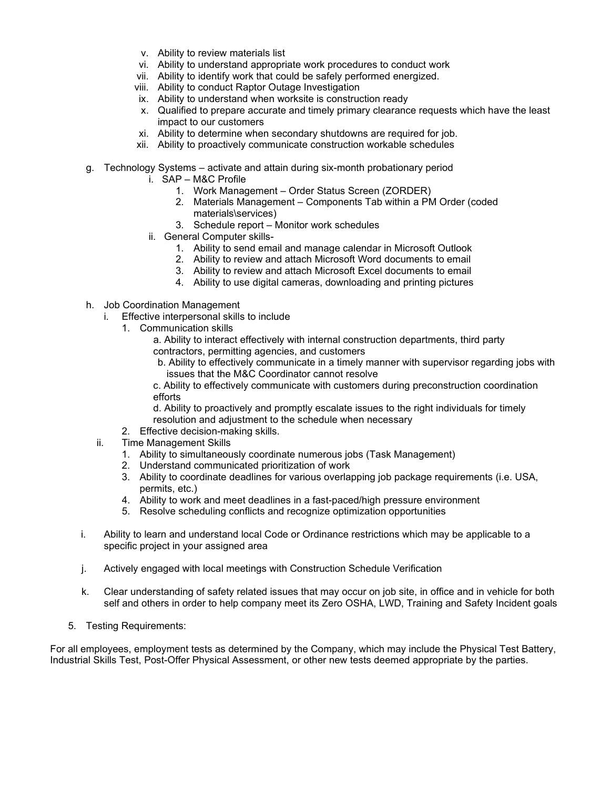- v. Ability to review materials list
- vi. Ability to understand appropriate work procedures to conduct work
- vii. Ability to identify work that could be safely performed energized.
- viii. Ability to conduct Raptor Outage Investigation
- ix. Ability to understand when worksite is construction ready
- x. Qualified to prepare accurate and timely primary clearance requests which have the least impact to our customers
- xi. Ability to determine when secondary shutdowns are required for job.
- xii. Ability to proactively communicate construction workable schedules
- g. Technology Systems activate and attain during six-month probationary period
	- i. SAP M&C Profile
		- 1. Work Management Order Status Screen (ZORDER)
		- 2. Materials Management Components Tab within a PM Order (coded materials\services)
		- 3. Schedule report Monitor work schedules
	- ii. General Computer skills-
		- 1. Ability to send email and manage calendar in Microsoft Outlook
		- 2. Ability to review and attach Microsoft Word documents to email
		- 3. Ability to review and attach Microsoft Excel documents to email
		- 4. Ability to use digital cameras, downloading and printing pictures
- h. Job Coordination Management
	- i. Effective interpersonal skills to include
		- 1. Communication skills
			- a. Ability to interact effectively with internal construction departments, third party contractors, permitting agencies, and customers
			- b. Ability to effectively communicate in a timely manner with supervisor regarding jobs with issues that the M&C Coordinator cannot resolve
			- c. Ability to effectively communicate with customers during preconstruction coordination efforts

d. Ability to proactively and promptly escalate issues to the right individuals for timely resolution and adjustment to the schedule when necessary

- 2. Effective decision-making skills.
- ii. Time Management Skills
	- 1. Ability to simultaneously coordinate numerous jobs (Task Management)
	- 2. Understand communicated prioritization of work
	- 3. Ability to coordinate deadlines for various overlapping job package requirements (i.e. USA, permits, etc.)
	- 4. Ability to work and meet deadlines in a fast-paced/high pressure environment
	- 5. Resolve scheduling conflicts and recognize optimization opportunities
- i. Ability to learn and understand local Code or Ordinance restrictions which may be applicable to a specific project in your assigned area
- j. Actively engaged with local meetings with Construction Schedule Verification
- k. Clear understanding of safety related issues that may occur on job site, in office and in vehicle for both self and others in order to help company meet its Zero OSHA, LWD, Training and Safety Incident goals
- 5. Testing Requirements:

For all employees, employment tests as determined by the Company, which may include the Physical Test Battery, Industrial Skills Test, Post-Offer Physical Assessment, or other new tests deemed appropriate by the parties.